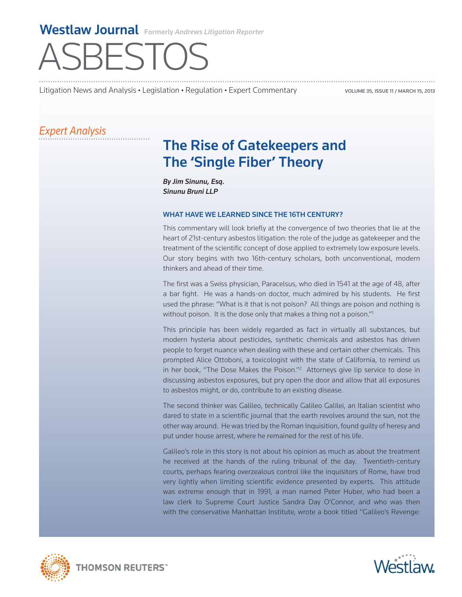## Westlaw Journal Formerly *Andrews Litigation Reporter*

# ASBESTOS

Litigation News and Analysis • Legislation • Regulation • Expert Commentary

VOLUME 35, ISSUE 11 / MARCH 15, 2013

### *Expert Analysis*

## The Rise of Gatekeepers and The 'Single Fiber' Theory

*By Jim Sinunu, Esq. Sinunu Bruni LLP*

#### WHAT HAVE WE LEARNED SINCE THE 16TH CENTURY?

This commentary will look briefly at the convergence of two theories that lie at the heart of 21st-century asbestos litigation: the role of the judge as gatekeeper and the treatment of the scientific concept of dose applied to extremely low exposure levels. Our story begins with two 16th-century scholars, both unconventional, modern thinkers and ahead of their time.

The first was a Swiss physician, Paracelsus, who died in 1541 at the age of 48, after a bar fight. He was a hands-on doctor, much admired by his students. He first used the phrase: "What is it that is not poison? All things are poison and nothing is without poison. It is the dose only that makes a thing not a poison."<sup>1</sup>

This principle has been widely regarded as fact in virtually all substances, but modern hysteria about pesticides, synthetic chemicals and asbestos has driven people to forget nuance when dealing with these and certain other chemicals. This prompted Alice Ottoboni, a toxicologist with the state of California, to remind us in her book, "The Dose Makes the Poison."<sup>2</sup> Attorneys give lip service to dose in discussing asbestos exposures, but pry open the door and allow that all exposures to asbestos might, or do, contribute to an existing disease.

The second thinker was Galileo, technically Galileo Galilei, an Italian scientist who dared to state in a scientific journal that the earth revolves around the sun, not the other way around. He was tried by the Roman Inquisition, found guilty of heresy and put under house arrest, where he remained for the rest of his life.

Galileo's role in this story is not about his opinion as much as about the treatment he received at the hands of the ruling tribunal of the day. Twentieth-century courts, perhaps fearing overzealous control like the inquisitors of Rome, have trod very lightly when limiting scientific evidence presented by experts. This attitude was extreme enough that in 1991, a man named Peter Huber, who had been a law clerk to Supreme Court Justice Sandra Day O'Connor, and who was then with the conservative Manhattan Institute, wrote a book titled "Galileo's Revenge:





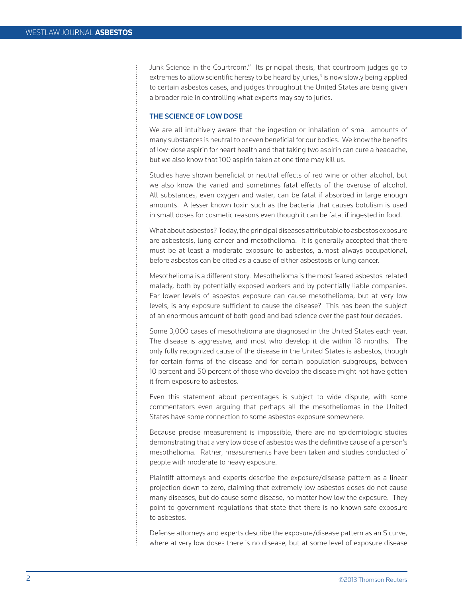Junk Science in the Courtroom." Its principal thesis, that courtroom judges go to extremes to allow scientific heresy to be heard by juries,<sup>3</sup> is now slowly being applied to certain asbestos cases, and judges throughout the United States are being given a broader role in controlling what experts may say to juries.

#### THE SCIENCE OF LOW DOSE

We are all intuitively aware that the ingestion or inhalation of small amounts of many substances is neutral to or even beneficial for our bodies. We know the benefits of low-dose aspirin for heart health and that taking two aspirin can cure a headache, but we also know that 100 aspirin taken at one time may kill us.

Studies have shown beneficial or neutral effects of red wine or other alcohol, but we also know the varied and sometimes fatal effects of the overuse of alcohol. All substances, even oxygen and water, can be fatal if absorbed in large enough amounts. A lesser known toxin such as the bacteria that causes botulism is used in small doses for cosmetic reasons even though it can be fatal if ingested in food.

What about asbestos? Today, the principal diseases attributable to asbestos exposure are asbestosis, lung cancer and mesothelioma. It is generally accepted that there must be at least a moderate exposure to asbestos, almost always occupational, before asbestos can be cited as a cause of either asbestosis or lung cancer.

Mesothelioma is a different story. Mesothelioma is the most feared asbestos-related malady, both by potentially exposed workers and by potentially liable companies. Far lower levels of asbestos exposure can cause mesothelioma, but at very low levels, is any exposure sufficient to cause the disease? This has been the subject of an enormous amount of both good and bad science over the past four decades.

Some 3,000 cases of mesothelioma are diagnosed in the United States each year. The disease is aggressive, and most who develop it die within 18 months. The only fully recognized cause of the disease in the United States is asbestos, though for certain forms of the disease and for certain population subgroups, between 10 percent and 50 percent of those who develop the disease might not have gotten it from exposure to asbestos.

Even this statement about percentages is subject to wide dispute, with some commentators even arguing that perhaps all the mesotheliomas in the United States have some connection to some asbestos exposure somewhere.

Because precise measurement is impossible, there are no epidemiologic studies demonstrating that a very low dose of asbestos was the definitive cause of a person's mesothelioma. Rather, measurements have been taken and studies conducted of people with moderate to heavy exposure.

Plaintiff attorneys and experts describe the exposure/disease pattern as a linear projection down to zero, claiming that extremely low asbestos doses do not cause many diseases, but do cause some disease, no matter how low the exposure. They point to government regulations that state that there is no known safe exposure to asbestos.

Defense attorneys and experts describe the exposure/disease pattern as an S curve, where at very low doses there is no disease, but at some level of exposure disease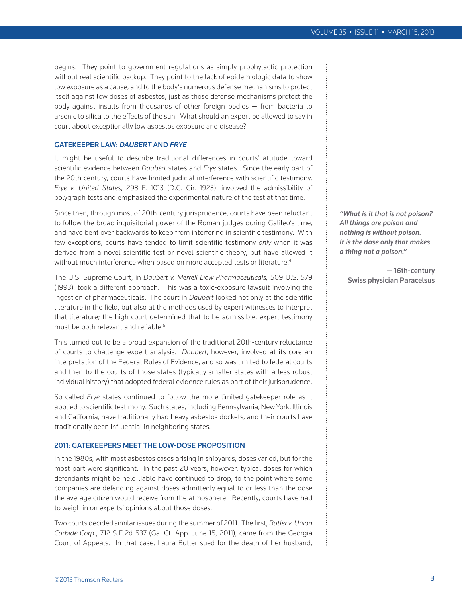begins. They point to government regulations as simply prophylactic protection without real scientific backup. They point to the lack of epidemiologic data to show low exposure as a cause, and to the body's numerous defense mechanisms to protect itself against low doses of asbestos, just as those defense mechanisms protect the body against insults from thousands of other foreign bodies — from bacteria to arsenic to silica to the effects of the sun. What should an expert be allowed to say in court about exceptionally low asbestos exposure and disease?

#### GATEKEEPER LAW: *DAUBERT* AND *FRYE*

It might be useful to describe traditional differences in courts' attitude toward scientific evidence between *Daubert* states and *Frye* states. Since the early part of the 20th century, courts have limited judicial interference with scientific testimony. *Frye v. United States*, 293 F. 1013 (D.C. Cir. 1923), involved the admissibility of polygraph tests and emphasized the experimental nature of the test at that time.

Since then, through most of 20th-century jurisprudence, courts have been reluctant to follow the broad inquisitorial power of the Roman judges during Galileo's time, and have bent over backwards to keep from interfering in scientific testimony. With few exceptions, courts have tended to limit scientific testimony *only* when it was derived from a novel scientific test or novel scientific theory, but have allowed it without much interference when based on more accepted tests or literature.<sup>4</sup>

The U.S. Supreme Court, in *Daubert v. Merrell Dow Pharmaceuticals,* 509 U.S. 579 (1993), took a different approach. This was a toxic-exposure lawsuit involving the ingestion of pharmaceuticals. The court in *Daubert* looked not only at the scientific literature in the field, but also at the methods used by expert witnesses to interpret that literature; the high court determined that to be admissible, expert testimony must be both relevant and reliable.<sup>5</sup>

This turned out to be a broad expansion of the traditional 20th-century reluctance of courts to challenge expert analysis. *Daubert*, however, involved at its core an interpretation of the Federal Rules of Evidence, and so was limited to federal courts and then to the courts of those states (typically smaller states with a less robust individual history) that adopted federal evidence rules as part of their jurisprudence.

So-called *Frye* states continued to follow the more limited gatekeeper role as it applied to scientific testimony. Such states, including Pennsylvania, New York, Illinois and California, have traditionally had heavy asbestos dockets, and their courts have traditionally been influential in neighboring states.

#### 2011: GATEKEEPERS MEET THE LOW-DOSE PROPOSITION

In the 1980s, with most asbestos cases arising in shipyards, doses varied, but for the most part were significant. In the past 20 years, however, typical doses for which defendants might be held liable have continued to drop, to the point where some companies are defending against doses admittedly equal to or less than the dose the average citizen would receive from the atmosphere. Recently, courts have had to weigh in on experts' opinions about those doses.

Two courts decided similar issues during the summer of 2011. The first, *Butler v. Union Carbide Corp*., 712 S.E.2d 537 (Ga. Ct. App. June 15, 2011), came from the Georgia Court of Appeals. In that case, Laura Butler sued for the death of her husband,

*"What is it that is not poison? All things are poison and nothing is without poison. It is the dose only that makes a thing not a poison."* 

— 16th-century Swiss physician Paracelsus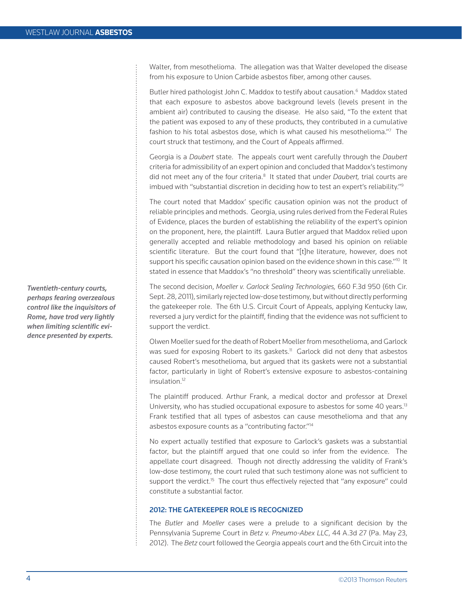Walter, from mesothelioma. The allegation was that Walter developed the disease from his exposure to Union Carbide asbestos fiber, among other causes.

Butler hired pathologist John C. Maddox to testify about causation.<sup>6</sup> Maddox stated that each exposure to asbestos above background levels (levels present in the ambient air) contributed to causing the disease. He also said, "To the extent that the patient was exposed to any of these products, they contributed in a cumulative fashion to his total asbestos dose, which is what caused his mesothelioma."7 The court struck that testimony, and the Court of Appeals affirmed.

Georgia is a *Daubert* state. The appeals court went carefully through the *Daubert* criteria for admissibility of an expert opinion and concluded that Maddox's testimony did not meet any of the four criteria.<sup>8</sup> It stated that under *Daubert*, trial courts are imbued with "substantial discretion in deciding how to test an expert's reliability."9

The court noted that Maddox' specific causation opinion was not the product of reliable principles and methods. Georgia, using rules derived from the Federal Rules of Evidence, places the burden of establishing the reliability of the expert's opinion on the proponent, here, the plaintiff. Laura Butler argued that Maddox relied upon generally accepted and reliable methodology and based his opinion on reliable scientific literature. But the court found that "[t]he literature, however, does not support his specific causation opinion based on the evidence shown in this case."<sup>10</sup> It stated in essence that Maddox's "no threshold" theory was scientifically unreliable.

The second decision, *Moeller v. Garlock Sealing Technologies,* 660 F.3d 950 (6th Cir. Sept. 28, 2011), similarly rejected low-dose testimony, but without directly performing the gatekeeper role. The 6th U.S. Circuit Court of Appeals, applying Kentucky law, reversed a jury verdict for the plaintiff, finding that the evidence was not sufficient to support the verdict.

Olwen Moeller sued for the death of Robert Moeller from mesothelioma, and Garlock was sued for exposing Robert to its gaskets.<sup>11</sup> Garlock did not deny that asbestos caused Robert's mesothelioma, but argued that its gaskets were not a substantial factor, particularly in light of Robert's extensive exposure to asbestos-containing insulation.12

The plaintiff produced. Arthur Frank, a medical doctor and professor at Drexel University, who has studied occupational exposure to asbestos for some 40 years.<sup>13</sup> Frank testified that all types of asbestos can cause mesothelioma and that any asbestos exposure counts as a "contributing factor."14

No expert actually testified that exposure to Garlock's gaskets was a substantial factor, but the plaintiff argued that one could so infer from the evidence. The appellate court disagreed. Though not directly addressing the validity of Frank's low-dose testimony, the court ruled that such testimony alone was not sufficient to support the verdict.<sup>15</sup> The court thus effectively rejected that "any exposure" could constitute a substantial factor.

#### 2012: THE GATEKEEPER ROLE IS RECOGNIZED

The *Butler* and *Moeller* cases were a prelude to a significant decision by the Pennsylvania Supreme Court in *Betz v. Pneumo-Abex LLC*, 44 A.3d 27 (Pa. May 23, 2012). The *Betz* court followed the Georgia appeals court and the 6th Circuit into the

*Twentieth-century courts, perhaps fearing overzealous control like the inquisitors of Rome, have trod very lightly when limiting scientific evidence presented by experts.*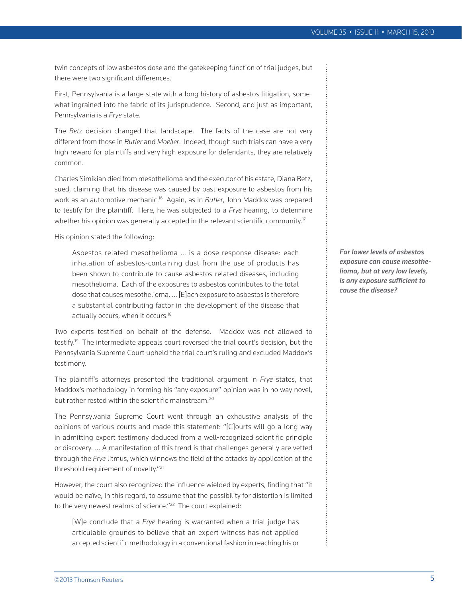twin concepts of low asbestos dose and the gatekeeping function of trial judges, but there were two significant differences.

First, Pennsylvania is a large state with a long history of asbestos litigation, somewhat ingrained into the fabric of its jurisprudence. Second, and just as important, Pennsylvania is a *Frye* state.

The *Betz* decision changed that landscape. The facts of the case are not very different from those in *Butler* and *Moeller*. Indeed, though such trials can have a very high reward for plaintiffs and very high exposure for defendants, they are relatively common.

Charles Simikian died from mesothelioma and the executor of his estate, Diana Betz, sued, claiming that his disease was caused by past exposure to asbestos from his work as an automotive mechanic.16 Again, as in *Butler*, John Maddox was prepared to testify for the plaintiff. Here, he was subjected to a *Frye* hearing, to determine whether his opinion was generally accepted in the relevant scientific community.<sup>17</sup>

#### His opinion stated the following:

Asbestos-related mesothelioma … is a dose response disease: each inhalation of asbestos-containing dust from the use of products has been shown to contribute to cause asbestos-related diseases, including mesothelioma. Each of the exposures to asbestos contributes to the total dose that causes mesothelioma. … [E]ach exposure to asbestos is therefore a substantial contributing factor in the development of the disease that actually occurs, when it occurs.<sup>18</sup>

Two experts testified on behalf of the defense. Maddox was not allowed to testify.19 The intermediate appeals court reversed the trial court's decision, but the Pennsylvania Supreme Court upheld the trial court's ruling and excluded Maddox's testimony.

The plaintiff's attorneys presented the traditional argument in *Frye* states, that Maddox's methodology in forming his "any exposure" opinion was in no way novel, but rather rested within the scientific mainstream.<sup>20</sup>

The Pennsylvania Supreme Court went through an exhaustive analysis of the opinions of various courts and made this statement: "[C]ourts will go a long way in admitting expert testimony deduced from a well-recognized scientific principle or discovery. … A manifestation of this trend is that challenges generally are vetted through the *Frye* litmus, which winnows the field of the attacks by application of the threshold requirement of novelty."21

However, the court also recognized the influence wielded by experts, finding that "it would be naïve, in this regard, to assume that the possibility for distortion is limited to the very newest realms of science."<sup>22</sup> The court explained:

[W]e conclude that a *Frye* hearing is warranted when a trial judge has articulable grounds to believe that an expert witness has not applied accepted scientific methodology in a conventional fashion in reaching his or

*Far lower levels of asbestos exposure can cause mesothelioma, but at very low levels, is any exposure sufficient to cause the disease?*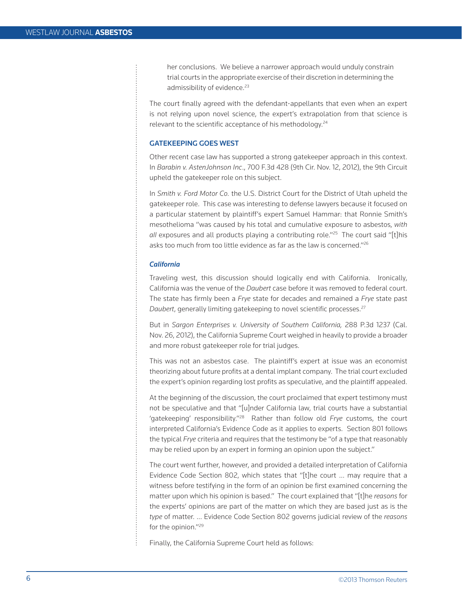her conclusions. We believe a narrower approach would unduly constrain trial courts in the appropriate exercise of their discretion in determining the admissibility of evidence.<sup>23</sup>

The court finally agreed with the defendant-appellants that even when an expert is not relying upon novel science, the expert's extrapolation from that science is relevant to the scientific acceptance of his methodology.<sup>24</sup>

#### GATEKEEPING GOES WEST

Other recent case law has supported a strong gatekeeper approach in this context. In *Barabin v. AstenJohnson Inc*., 700 F.3d 428 (9th Cir. Nov. 12, 2012), the 9th Circuit upheld the gatekeeper role on this subject.

In *Smith v. Ford Motor Co.* the U.S. District Court for the District of Utah upheld the gatekeeper role. This case was interesting to defense lawyers because it focused on a particular statement by plaintiff's expert Samuel Hammar: that Ronnie Smith's mesothelioma "was caused by his total and cumulative exposure to asbestos, *with all* exposures and all products playing a contributing role."25 The court said "[t]his asks too much from too little evidence as far as the law is concerned."<sup>26</sup>

#### *California*

Traveling west, this discussion should logically end with California. Ironically, California was the venue of the *Daubert* case before it was removed to federal court. The state has firmly been a *Frye* state for decades and remained a *Frye* state past Daubert, generally limiting gatekeeping to novel scientific processes.<sup>27</sup>

But in *Sargon Enterprises v. University of Southern California*, 288 P.3d 1237 (Cal. Nov. 26, 2012), the California Supreme Court weighed in heavily to provide a broader and more robust gatekeeper role for trial judges.

This was not an asbestos case. The plaintiff's expert at issue was an economist theorizing about future profits at a dental implant company. The trial court excluded the expert's opinion regarding lost profits as speculative, and the plaintiff appealed.

At the beginning of the discussion, the court proclaimed that expert testimony must not be speculative and that "[u]nder California law, trial courts have a substantial 'gatekeeping' responsibility."28 Rather than follow old *Frye* customs, the court interpreted California's Evidence Code as it applies to experts. Section 801 follows the typical *Frye* criteria and requires that the testimony be "of a type that reasonably may be relied upon by an expert in forming an opinion upon the subject."

The court went further, however, and provided a detailed interpretation of California Evidence Code Section 802, which states that "[t]he court … may require that a witness before testifying in the form of an opinion be first examined concerning the matter upon which his opinion is based." The court explained that "[t]he *reasons* for the experts' opinions are part of the matter on which they are based just as is the *type* of matter. … Evidence Code Section 802 governs judicial review of the *reasons* for the opinion."29

Finally, the California Supreme Court held as follows: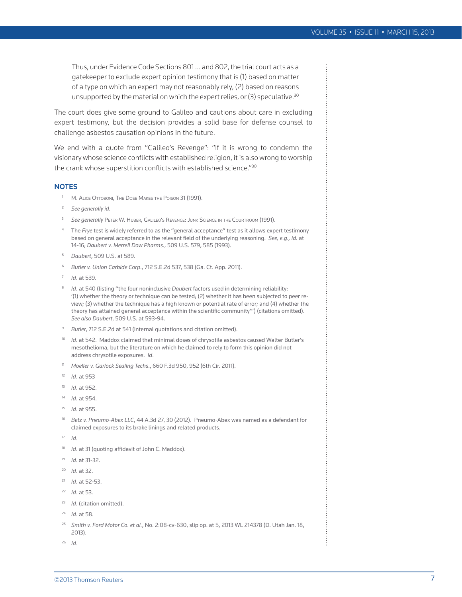Thus, under Evidence Code Sections 801 … and 802, the trial court acts as a gatekeeper to exclude expert opinion testimony that is (1) based on matter of a type on which an expert may not reasonably rely, (2) based on reasons unsupported by the material on which the expert relies, or  $(3)$  speculative.<sup>30</sup>

The court does give some ground to Galileo and cautions about care in excluding expert testimony, but the decision provides a solid base for defense counsel to challenge asbestos causation opinions in the future.

We end with a quote from "Galileo's Revenge": "If it is wrong to condemn the visionary whose science conflicts with established religion, it is also wrong to worship the crank whose superstition conflicts with established science."<sup>30</sup>

#### NOTES

- <sup>1</sup> M. ALICE OTTOBONI, THE DOSE MAKES THE POISON 31 (1991).
- <sup>2</sup> *See generally id.*
- See generally PETER W. HUBER, GALILEO'S REVENGE: JUNK SCIENCE IN THE COURTROOM (1991).
- <sup>4</sup> The *Frye* test is widely referred to as the "general acceptance" test as it allows expert testimony based on general acceptance in the relevant field of the underlying reasoning. *See, e.g., id.* at 14-16; *Daubert v. Merrell Dow Pharms.*, 509 U.S. 579, 585 (1993).
- <sup>5</sup> *Daubert*, 509 U.S. at 589.
- <sup>6</sup> *Butler v. Union Carbide Corp*., 712 S.E.2d 537, 538 (Ga. Ct. App. 2011).
- <sup>7</sup> *Id*. at 539.
- <sup>8</sup> *Id*. at 540 (listing "the four noninclusive *Daubert* factors used in determining reliability: '(1) whether the theory or technique can be tested; (2) whether it has been subjected to peer review; (3) whether the technique has a high known or potential rate of error; and (4) whether the theory has attained general acceptance within the scientific community'") (citations omitted). *See also Daubert*, 509 U.S. at 593-94.
- <sup>9</sup> *Butler*, 712 S.E.2d at 541 (internal quotations and citation omitted).
- <sup>10</sup> *Id.* at 542. Maddox claimed that minimal doses of chrysotile asbestos caused Walter Butler's mesothelioma, but the literature on which he claimed to rely to form this opinion did not address chrysotile exposures. *Id*.
- <sup>11</sup> *Moeller v. Garlock Sealing Techs*., 660 F.3d 950, 952 (6th Cir. 2011).
- <sup>12</sup> *Id*. at 953
- <sup>13</sup> *Id*. at 952.
- <sup>14</sup> *Id*. at 954.
- <sup>15</sup> *Id*. at 955.
- <sup>16</sup> *Betz v. Pneumo-Abex LLC*, 44 A.3d 27, 30 (2012). Pneumo-Abex was named as a defendant for claimed exposures to its brake linings and related products.
- $17$  *Id.*
- <sup>18</sup> *Id.* at 31 (quoting affidavit of John C. Maddox).
- <sup>19</sup> *Id.* at 31-32.
- <sup>20</sup> *Id*. at 32.
- <sup>21</sup> *Id*. at 52-53.
- <sup>22</sup> *Id*. at 53.
- <sup>23</sup> *Id*. (citation omitted).
- <sup>24</sup> *Id*. at 58.
- <sup>25</sup> *Smith v. Ford Motor Co. et al.*, No. 2:08-cv-630, slip op. at 5, 2013 WL 214378 (D. Utah Jan. 18, 2013).
- <sup>26</sup> *Id*.